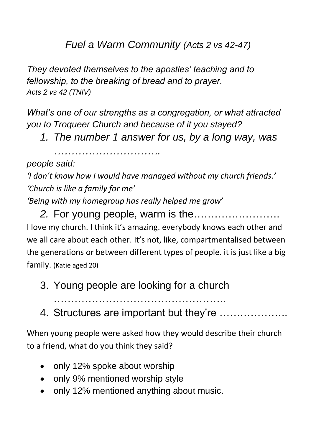*Fuel a Warm Community (Acts 2 vs 42-47)*

*They devoted themselves to the apostles' teaching and to fellowship, to the breaking of bread and to prayer. Acts 2 vs 42 (TNIV)*

*What's one of our strengths as a congregation, or what attracted you to Troqueer Church and because of it you stayed?*

*1. The number 1 answer for us, by a long way, was* 

*………………………….*

*people said:*

*'I don't know how I would have managed without my church friends.' 'Church is like a family for me'*

*'Being with my homegroup has really helped me grow'*

*2.* For young people, warm is the……………………. I love my church. I think it's amazing. everybody knows each other and we all care about each other. It's not, like, compartmentalised between the generations or between different types of people. it is just like a big family. (Katie aged 20)

- 3. Young people are looking for a church
	- …………………………………………..
- 4. Structures are important but they're ………………..

When young people were asked how they would describe their church to a friend, what do you think they said?

- only 12% spoke about worship
- only 9% mentioned worship style
- only 12% mentioned anything about music.